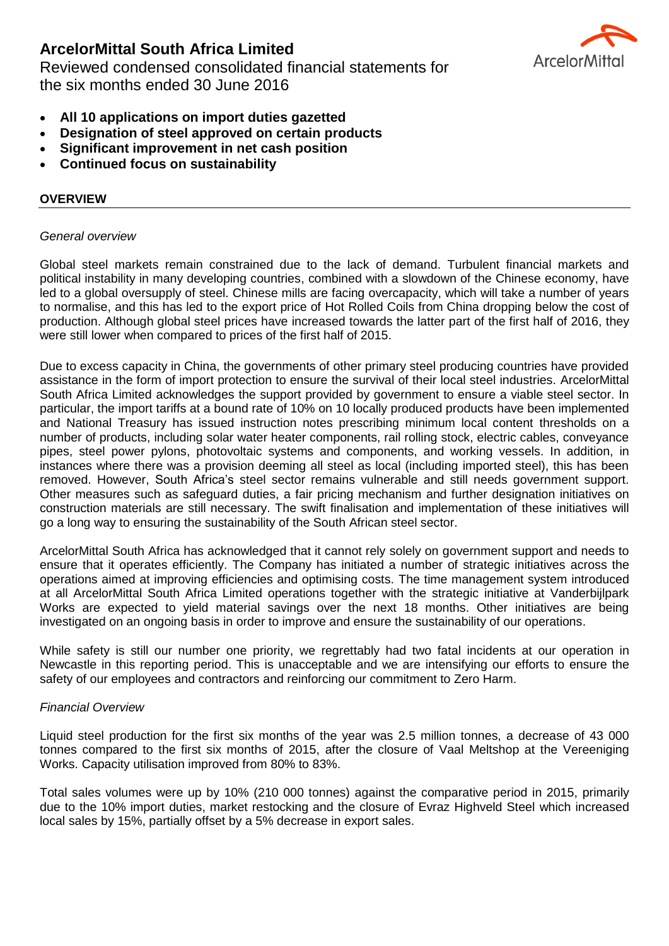Reviewed condensed consolidated financial statements for the six months ended 30 June 2016



- **All 10 applications on import duties gazetted**
- **Designation of steel approved on certain products**
- **Significant improvement in net cash position**
- **Continued focus on sustainability**

# **OVERVIEW**

#### *General overview*

Global steel markets remain constrained due to the lack of demand. Turbulent financial markets and political instability in many developing countries, combined with a slowdown of the Chinese economy, have led to a global oversupply of steel. Chinese mills are facing overcapacity, which will take a number of years to normalise, and this has led to the export price of Hot Rolled Coils from China dropping below the cost of production. Although global steel prices have increased towards the latter part of the first half of 2016, they were still lower when compared to prices of the first half of 2015.

Due to excess capacity in China, the governments of other primary steel producing countries have provided assistance in the form of import protection to ensure the survival of their local steel industries. ArcelorMittal South Africa Limited acknowledges the support provided by government to ensure a viable steel sector. In particular, the import tariffs at a bound rate of 10% on 10 locally produced products have been implemented and National Treasury has issued instruction notes prescribing minimum local content thresholds on a number of products, including solar water heater components, rail rolling stock, electric cables, conveyance pipes, steel power pylons, photovoltaic systems and components, and working vessels. In addition, in instances where there was a provision deeming all steel as local (including imported steel), this has been removed. However, South Africa's steel sector remains vulnerable and still needs government support. Other measures such as safeguard duties, a fair pricing mechanism and further designation initiatives on construction materials are still necessary. The swift finalisation and implementation of these initiatives will go a long way to ensuring the sustainability of the South African steel sector.

ArcelorMittal South Africa has acknowledged that it cannot rely solely on government support and needs to ensure that it operates efficiently. The Company has initiated a number of strategic initiatives across the operations aimed at improving efficiencies and optimising costs. The time management system introduced at all ArcelorMittal South Africa Limited operations together with the strategic initiative at Vanderbijlpark Works are expected to yield material savings over the next 18 months. Other initiatives are being investigated on an ongoing basis in order to improve and ensure the sustainability of our operations.

While safety is still our number one priority, we regrettably had two fatal incidents at our operation in Newcastle in this reporting period. This is unacceptable and we are intensifying our efforts to ensure the safety of our employees and contractors and reinforcing our commitment to Zero Harm.

## *Financial Overview*

Liquid steel production for the first six months of the year was 2.5 million tonnes, a decrease of 43 000 tonnes compared to the first six months of 2015, after the closure of Vaal Meltshop at the Vereeniging Works. Capacity utilisation improved from 80% to 83%.

Total sales volumes were up by 10% (210 000 tonnes) against the comparative period in 2015, primarily due to the 10% import duties, market restocking and the closure of Evraz Highveld Steel which increased local sales by 15%, partially offset by a 5% decrease in export sales.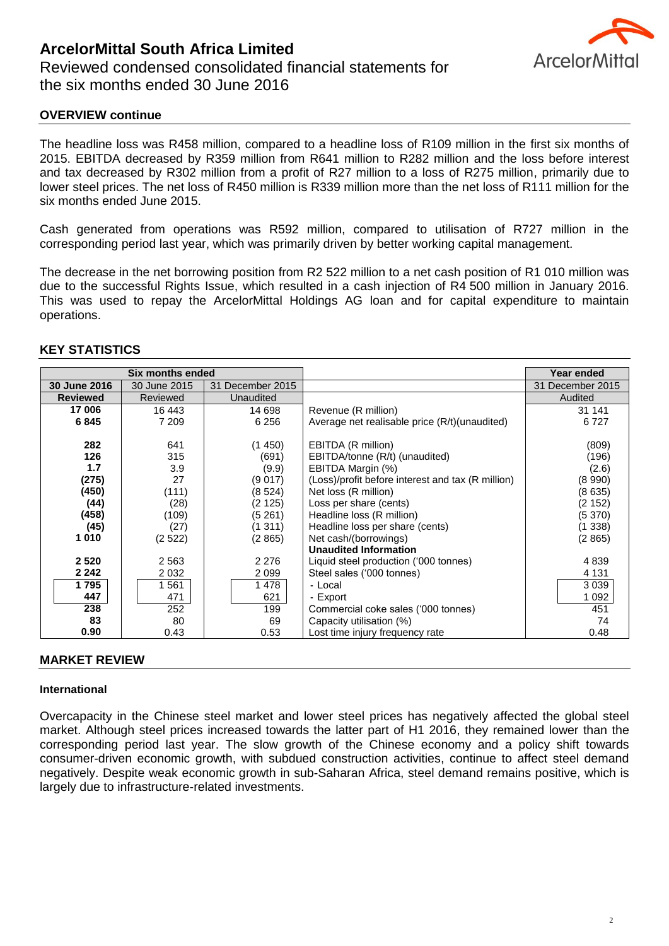

## **OVERVIEW continue**

The headline loss was R458 million, compared to a headline loss of R109 million in the first six months of 2015. EBITDA decreased by R359 million from R641 million to R282 million and the loss before interest and tax decreased by R302 million from a profit of R27 million to a loss of R275 million, primarily due to lower steel prices. The net loss of R450 million is R339 million more than the net loss of R111 million for the six months ended June 2015.

Cash generated from operations was R592 million, compared to utilisation of R727 million in the corresponding period last year, which was primarily driven by better working capital management.

The decrease in the net borrowing position from R2 522 million to a net cash position of R1 010 million was due to the successful Rights Issue, which resulted in a cash injection of R4 500 million in January 2016. This was used to repay the ArcelorMittal Holdings AG loan and for capital expenditure to maintain operations.

#### **Six months ended Year ended Year ended 30 June 2016** 30 June 2015 31 December 2015 31 December 2015 **Reviewed** Reviewed Muaudited Audited Audited Audited Reviewed Audited **17 006** 16 443 16 14 698 Revenue (R million) 31 141 **6 845** 7 209 6 256 Average net realisable price (R/t)(unaudited) 6 727 **282** 641 (1 450) EBITDA (R million) (809) **126**  $\vert$  315 (691) EBITDA/tonne (R/t) (unaudited) (196) **1.7**  $\begin{array}{|c|c|c|c|c|c|}\n\hline\n\textbf{27} & \textbf{3.9} & \textbf{(9.9)} & \textbf{(9.9)} & \textbf{(BHTDA Margin (%)} \\
\hline\n\textbf{(275)} & \textbf{27} & \textbf{(9.9017)} & \textbf{(Loss)}/\text{profit before interest and tax (R million)} & \textbf{(8.990)}\n\hline\n\end{array}$ **(275)** 27 (9 017) (Loss)/profit before interest and tax (R million) (8 990) **(450)** (111) (8 524) Net loss (R million) (8 635) **(44)** (28) (2 125) Loss per share (cents) (2 152) **(458)** (109) (5 261) Headline loss (R million) (5 370) **(45)** (27) (1 311) Headline loss per share (cents) (1 338) **1 010** (2 522) (2 865) Net cash/(borrowings) (2 865) **Unaudited Information 2 520** 2 563 2 276 Liquid steel production ('000 tonnes) 4 839 **2 242** 2 032 2 099 Steel sales ('000 tonnes) 2 242 **1 795** | | 1 561 | | | 1 478 | | Local | | 3 039 **447**  $\begin{array}{|c|c|c|c|c|} \hline \end{array}$  471  $\begin{array}{|c|c|c|c|c|} \hline \end{array}$  621  $\begin{array}{|c|c|c|c|c|} \hline \end{array}$  - Export  $\begin{array}{|c|c|c|c|c|} \hline \end{array}$  1092  $\overline{238}$   $\overline{252}$   $\overline{199}$  Commercial coke sales ('000 tonnes)  $\overline{451}$ **83** 80 80 69 Capacity utilisation (%) 80 74<br> **80** 0.43 0.53 Lost time injury frequency rate 0.48 **0.90** 0.43 0.53 Lost time injury frequency rate 1 0.48

#### **KEY STATISTICS**

#### **MARKET REVIEW**

#### **International**

Overcapacity in the Chinese steel market and lower steel prices has negatively affected the global steel market. Although steel prices increased towards the latter part of H1 2016, they remained lower than the corresponding period last year. The slow growth of the Chinese economy and a policy shift towards consumer-driven economic growth, with subdued construction activities, continue to affect steel demand negatively. Despite weak economic growth in sub-Saharan Africa, steel demand remains positive, which is largely due to infrastructure-related investments.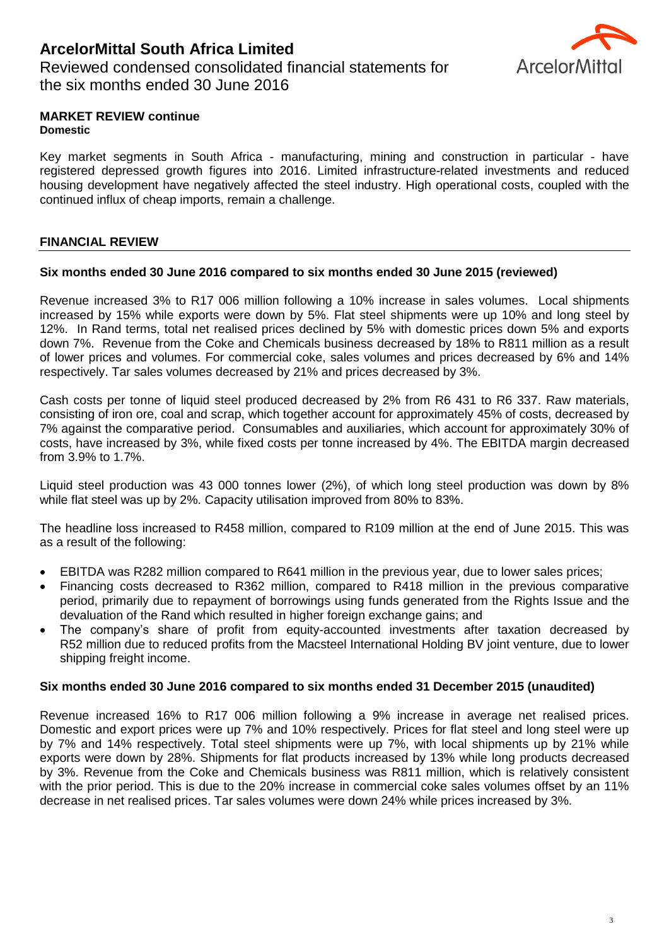Reviewed condensed consolidated financial statements for the six months ended 30 June 2016



#### **MARKET REVIEW continue Domestic**

Key market segments in South Africa - manufacturing, mining and construction in particular - have registered depressed growth figures into 2016. Limited infrastructure-related investments and reduced housing development have negatively affected the steel industry. High operational costs, coupled with the continued influx of cheap imports, remain a challenge.

# **FINANCIAL REVIEW**

## **Six months ended 30 June 2016 compared to six months ended 30 June 2015 (reviewed)**

Revenue increased 3% to R17 006 million following a 10% increase in sales volumes. Local shipments increased by 15% while exports were down by 5%. Flat steel shipments were up 10% and long steel by 12%. In Rand terms, total net realised prices declined by 5% with domestic prices down 5% and exports down 7%. Revenue from the Coke and Chemicals business decreased by 18% to R811 million as a result of lower prices and volumes. For commercial coke, sales volumes and prices decreased by 6% and 14% respectively. Tar sales volumes decreased by 21% and prices decreased by 3%.

Cash costs per tonne of liquid steel produced decreased by 2% from R6 431 to R6 337. Raw materials, consisting of iron ore, coal and scrap, which together account for approximately 45% of costs, decreased by 7% against the comparative period. Consumables and auxiliaries, which account for approximately 30% of costs, have increased by 3%, while fixed costs per tonne increased by 4%. The EBITDA margin decreased from 3.9% to 1.7%.

Liquid steel production was 43 000 tonnes lower (2%), of which long steel production was down by 8% while flat steel was up by 2%. Capacity utilisation improved from 80% to 83%.

The headline loss increased to R458 million, compared to R109 million at the end of June 2015. This was as a result of the following:

- EBITDA was R282 million compared to R641 million in the previous year, due to lower sales prices;
- Financing costs decreased to R362 million, compared to R418 million in the previous comparative period, primarily due to repayment of borrowings using funds generated from the Rights Issue and the devaluation of the Rand which resulted in higher foreign exchange gains; and
- The company's share of profit from equity-accounted investments after taxation decreased by R52 million due to reduced profits from the Macsteel International Holding BV joint venture, due to lower shipping freight income.

## **Six months ended 30 June 2016 compared to six months ended 31 December 2015 (unaudited)**

Revenue increased 16% to R17 006 million following a 9% increase in average net realised prices. Domestic and export prices were up 7% and 10% respectively. Prices for flat steel and long steel were up by 7% and 14% respectively. Total steel shipments were up 7%, with local shipments up by 21% while exports were down by 28%. Shipments for flat products increased by 13% while long products decreased by 3%. Revenue from the Coke and Chemicals business was R811 million, which is relatively consistent with the prior period. This is due to the 20% increase in commercial coke sales volumes offset by an 11% decrease in net realised prices. Tar sales volumes were down 24% while prices increased by 3%.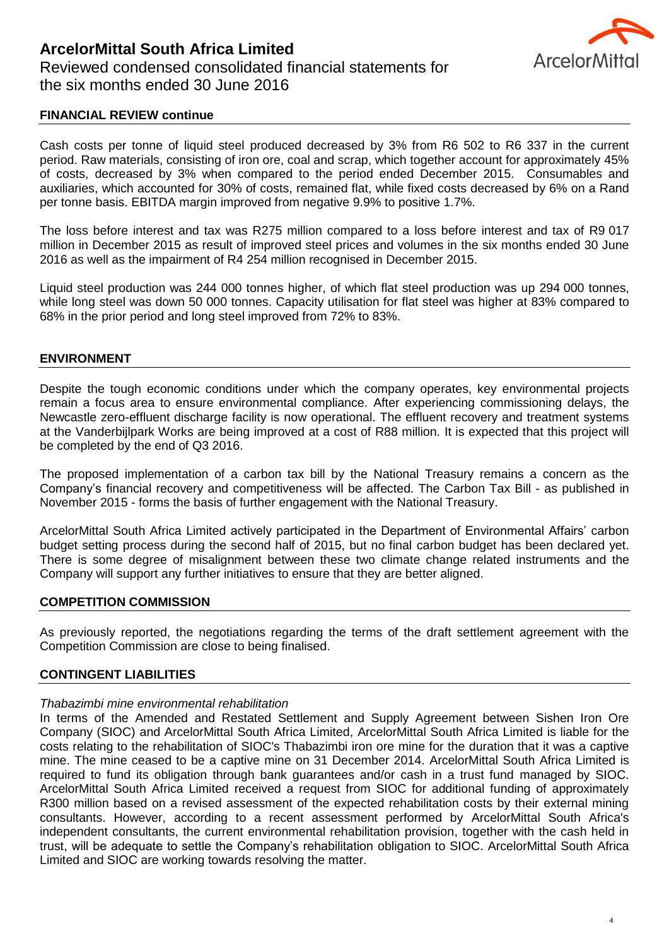

#### **FINANCIAL REVIEW continue**

Cash costs per tonne of liquid steel produced decreased by 3% from R6 502 to R6 337 in the current period. Raw materials, consisting of iron ore, coal and scrap, which together account for approximately 45% of costs, decreased by 3% when compared to the period ended December 2015. Consumables and auxiliaries, which accounted for 30% of costs, remained flat, while fixed costs decreased by 6% on a Rand per tonne basis. EBITDA margin improved from negative 9.9% to positive 1.7%.

The loss before interest and tax was R275 million compared to a loss before interest and tax of R9 017 million in December 2015 as result of improved steel prices and volumes in the six months ended 30 June 2016 as well as the impairment of R4 254 million recognised in December 2015.

Liquid steel production was 244 000 tonnes higher, of which flat steel production was up 294 000 tonnes, while long steel was down 50 000 tonnes. Capacity utilisation for flat steel was higher at 83% compared to 68% in the prior period and long steel improved from 72% to 83%.

#### **ENVIRONMENT**

Despite the tough economic conditions under which the company operates, key environmental projects remain a focus area to ensure environmental compliance. After experiencing commissioning delays, the Newcastle zero-effluent discharge facility is now operational. The effluent recovery and treatment systems at the Vanderbijlpark Works are being improved at a cost of R88 million. It is expected that this project will be completed by the end of Q3 2016.

The proposed implementation of a carbon tax bill by the National Treasury remains a concern as the Company's financial recovery and competitiveness will be affected. The Carbon Tax Bill - as published in November 2015 - forms the basis of further engagement with the National Treasury.

ArcelorMittal South Africa Limited actively participated in the Department of Environmental Affairs' carbon budget setting process during the second half of 2015, but no final carbon budget has been declared yet. There is some degree of misalignment between these two climate change related instruments and the Company will support any further initiatives to ensure that they are better aligned.

#### **COMPETITION COMMISSION**

As previously reported, the negotiations regarding the terms of the draft settlement agreement with the Competition Commission are close to being finalised.

#### **CONTINGENT LIABILITIES**

#### *Thabazimbi mine environmental rehabilitation*

In terms of the Amended and Restated Settlement and Supply Agreement between Sishen Iron Ore Company (SIOC) and ArcelorMittal South Africa Limited, ArcelorMittal South Africa Limited is liable for the costs relating to the rehabilitation of SIOC's Thabazimbi iron ore mine for the duration that it was a captive mine. The mine ceased to be a captive mine on 31 December 2014. ArcelorMittal South Africa Limited is required to fund its obligation through bank guarantees and/or cash in a trust fund managed by SIOC. ArcelorMittal South Africa Limited received a request from SIOC for additional funding of approximately R300 million based on a revised assessment of the expected rehabilitation costs by their external mining consultants. However, according to a recent assessment performed by ArcelorMittal South Africa's independent consultants, the current environmental rehabilitation provision, together with the cash held in trust, will be adequate to settle the Company's rehabilitation obligation to SIOC. ArcelorMittal South Africa Limited and SIOC are working towards resolving the matter.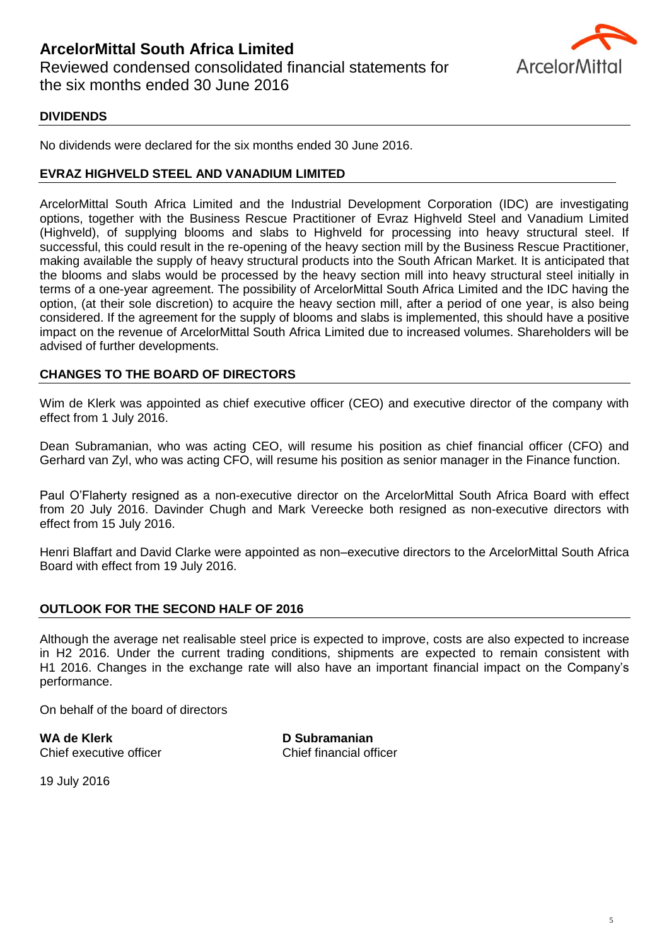

## **DIVIDENDS**

No dividends were declared for the six months ended 30 June 2016.

#### **EVRAZ HIGHVELD STEEL AND VANADIUM LIMITED**

ArcelorMittal South Africa Limited and the Industrial Development Corporation (IDC) are investigating options, together with the Business Rescue Practitioner of Evraz Highveld Steel and Vanadium Limited (Highveld), of supplying blooms and slabs to Highveld for processing into heavy structural steel. If successful, this could result in the re-opening of the heavy section mill by the Business Rescue Practitioner, making available the supply of heavy structural products into the South African Market. It is anticipated that the blooms and slabs would be processed by the heavy section mill into heavy structural steel initially in terms of a one-year agreement. The possibility of ArcelorMittal South Africa Limited and the IDC having the option, (at their sole discretion) to acquire the heavy section mill, after a period of one year, is also being considered. If the agreement for the supply of blooms and slabs is implemented, this should have a positive impact on the revenue of ArcelorMittal South Africa Limited due to increased volumes. Shareholders will be advised of further developments.

## **CHANGES TO THE BOARD OF DIRECTORS**

Wim de Klerk was appointed as chief executive officer (CEO) and executive director of the company with effect from 1 July 2016.

Dean Subramanian, who was acting CEO, will resume his position as chief financial officer (CFO) and Gerhard van Zyl, who was acting CFO, will resume his position as senior manager in the Finance function.

Paul O'Flaherty resigned as a non-executive director on the ArcelorMittal South Africa Board with effect from 20 July 2016. Davinder Chugh and Mark Vereecke both resigned as non-executive directors with effect from 15 July 2016.

Henri Blaffart and David Clarke were appointed as non–executive directors to the ArcelorMittal South Africa Board with effect from 19 July 2016.

## **OUTLOOK FOR THE SECOND HALF OF 2016**

Although the average net realisable steel price is expected to improve, costs are also expected to increase in H2 2016. Under the current trading conditions, shipments are expected to remain consistent with H1 2016. Changes in the exchange rate will also have an important financial impact on the Company's performance.

On behalf of the board of directors

**WA de Klerk D Subramanian** Chief executive officer **Chief financial officer** 

19 July 2016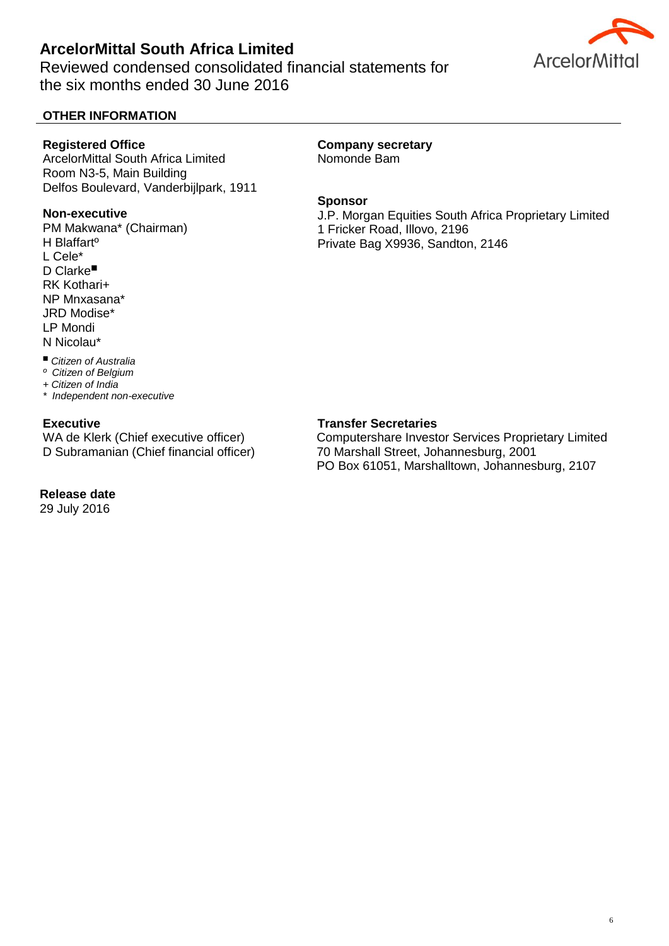Reviewed condensed consolidated financial statements for the six months ended 30 June 2016

# **OTHER INFORMATION**

#### **Registered Office**

ArcelorMittal South Africa Limited Room N3-5, Main Building Delfos Boulevard, Vanderbijlpark, 1911

#### **Non-executive**

PM Makwana\* (Chairman) H Blaffartº L Cele\* **D** Clarke<sup>■</sup> RK Kothari+ NP Mnxasana\* JRD Modise\* LP Mondi N Nicolau\*

#### **Company secretary**  Nomonde Bam

**Sponsor** 

J.P. Morgan Equities South Africa Proprietary Limited 1 Fricker Road, Illovo, 2196 Private Bag X9936, Sandton, 2146

#### *Citizen of Australia*

*º Citizen of Belgium*

*+ Citizen of India*

*\* Independent non-executive*

## **Executive**

WA de Klerk (Chief executive officer) D Subramanian (Chief financial officer)

## **Release date**

29 July 2016

## **Transfer Secretaries**

Computershare Investor Services Proprietary Limited 70 Marshall Street, Johannesburg, 2001 PO Box 61051, Marshalltown, Johannesburg, 2107

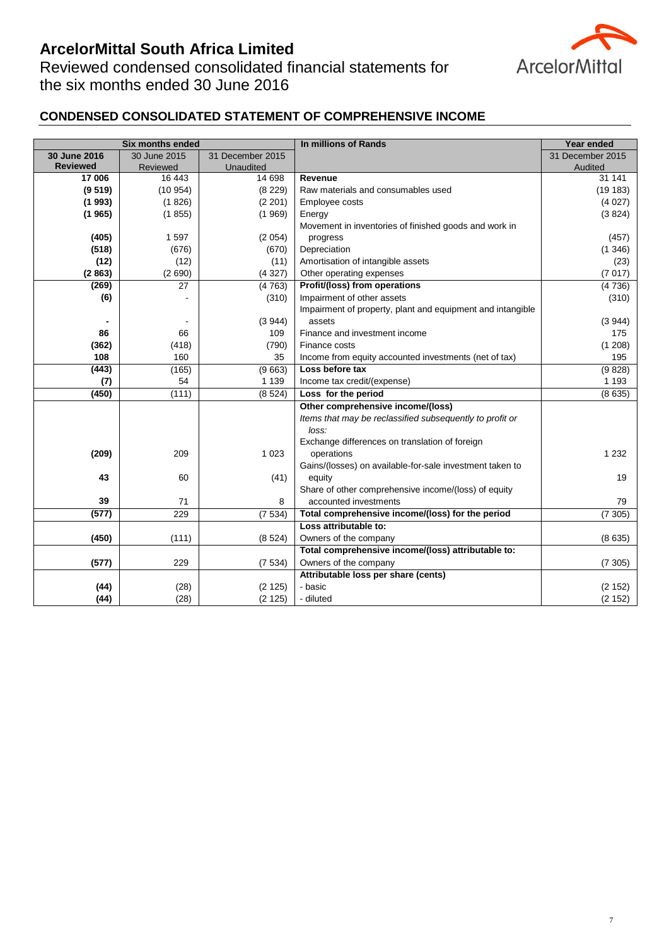Reviewed condensed consolidated financial statements for the six months ended 30 June 2016



# **CONDENSED CONSOLIDATED STATEMENT OF COMPREHENSIVE INCOME**

|                 | <b>Six months ended</b> |                  | In millions of Rands                                       | Year ended       |
|-----------------|-------------------------|------------------|------------------------------------------------------------|------------------|
| 30 June 2016    | 30 June 2015            | 31 December 2015 |                                                            | 31 December 2015 |
| <b>Reviewed</b> | Reviewed                | Unaudited        |                                                            | Audited          |
| 17 006          | 16 443                  | 14 698           | Revenue                                                    | 31 141           |
| (9519)          | (10954)                 | (8 229)          | Raw materials and consumables used                         | (19183)          |
| (1993)          | (1826)                  | (2 201)          | Employee costs                                             | (4027)           |
| (1965)          | (1855)                  | (1969)           | Energy                                                     | (3824)           |
|                 |                         |                  | Movement in inventories of finished goods and work in      |                  |
| (405)           | 1597                    | (2054)           | progress                                                   | (457)            |
| (518)           | (676)                   | (670)            | Depreciation                                               | (1346)           |
| (12)            | (12)                    | (11)             | Amortisation of intangible assets                          | (23)             |
| (2863)          | (2690)                  | (4327)           | Other operating expenses                                   | (7017)           |
| (269)           | 27                      | (4763)           | Profit/(loss) from operations                              | (4736)           |
| (6)             |                         | (310)            | Impairment of other assets                                 | (310)            |
|                 |                         |                  | Impairment of property, plant and equipment and intangible |                  |
|                 |                         | (3944)           | assets                                                     | (3944)           |
| 86              | 66                      | 109              | Finance and investment income                              | 175              |
| (362)           | (418)                   | (790)            | Finance costs                                              | (1 208)          |
| 108             | 160                     | 35               | Income from equity accounted investments (net of tax)      | 195              |
| (443)           | (165)                   | (9663)           | Loss before tax                                            | (9828)           |
| (7)             | 54                      | 1 1 3 9          | Income tax credit/(expense)                                | 1 1 9 3          |
| (450)           | (111)                   | (8524)           | Loss for the period                                        | (8635)           |
|                 |                         |                  | Other comprehensive income/(loss)                          |                  |
|                 |                         |                  | Items that may be reclassified subsequently to profit or   |                  |
|                 |                         |                  | loss:                                                      |                  |
|                 |                         |                  | Exchange differences on translation of foreign             |                  |
| (209)           | 209                     | 1 0 2 3          | operations                                                 | 1 2 3 2          |
|                 |                         |                  | Gains/(losses) on available-for-sale investment taken to   |                  |
| 43              | 60                      | (41)             | equity                                                     | 19               |
|                 |                         |                  | Share of other comprehensive income/(loss) of equity       |                  |
| 39              | 71                      | 8                | accounted investments                                      | 79               |
| (577)           | 229                     | (7534)           | Total comprehensive income/(loss) for the period           | (7305)           |
|                 |                         |                  | Loss attributable to:                                      |                  |
| (450)           | (111)                   | (8524)           | Owners of the company                                      | (8635)           |
|                 |                         |                  | Total comprehensive income/(loss) attributable to:         |                  |
| (577)           | 229                     | (7534)           | Owners of the company                                      | (7305)           |
|                 |                         |                  | Attributable loss per share (cents)                        |                  |
| (44)            | (28)                    | (2125)           | - basic                                                    | (2 152)          |
| (44)            | (28)                    | (2125)           | - diluted                                                  | (2 152)          |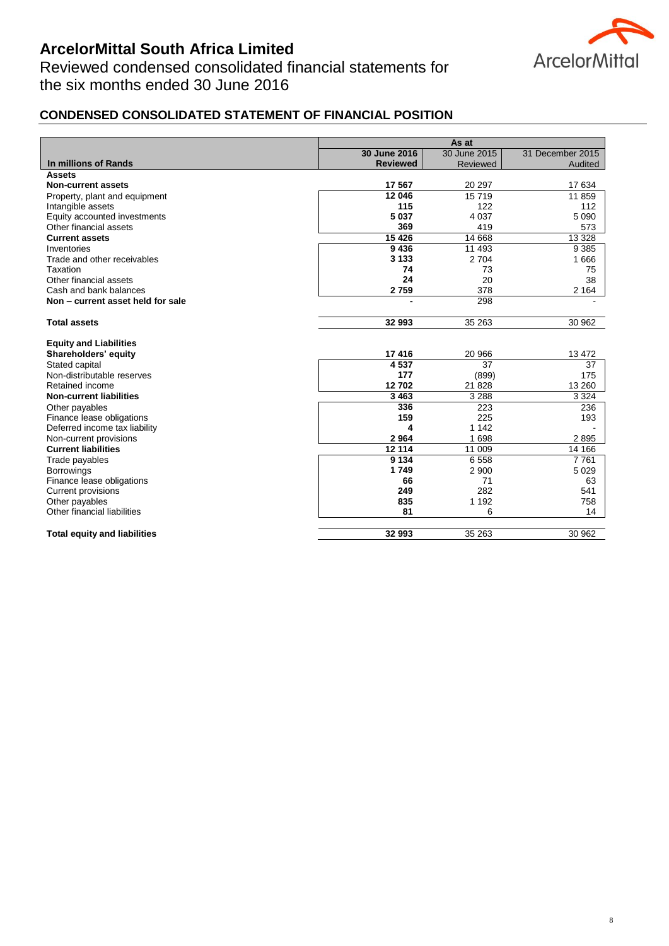Reviewed condensed consolidated financial statements for the six months ended 30 June 2016



# **CONDENSED CONSOLIDATED STATEMENT OF FINANCIAL POSITION**

|                                     | As at           |                 |                  |
|-------------------------------------|-----------------|-----------------|------------------|
|                                     | 30 June 2016    | 30 June 2015    | 31 December 2015 |
| In millions of Rands                | <b>Reviewed</b> | <b>Reviewed</b> | Audited          |
| <b>Assets</b>                       |                 |                 |                  |
| <b>Non-current assets</b>           | 17 567          | 20 297          | 17 634           |
| Property, plant and equipment       | 12 046          | 15719           | 11 859           |
| Intangible assets                   | 115             | 122             | 112              |
| Equity accounted investments        | 5 0 3 7         | 4 0 3 7         | 5 0 9 0          |
| Other financial assets              | 369             | 419             | 573              |
| <b>Current assets</b>               | 15 4 26         | 14 6 68         | 13 3 28          |
| Inventories                         | 9436            | 11 493          | 9 3 8 5          |
| Trade and other receivables         | 3 1 3 3         | 2704            | 1666             |
| Taxation                            | 74              | 73              | 75               |
| Other financial assets              | 24              | 20              | 38               |
| Cash and bank balances              | 2759            | 378             | 2 1 6 4          |
| Non - current asset held for sale   |                 | 298             |                  |
| <b>Total assets</b>                 | 32 993          | 35 263          | 30 962           |
| <b>Equity and Liabilities</b>       |                 |                 |                  |
| Shareholders' equity                | 17416           | 20 966          | 13 472           |
| Stated capital                      | 4537            | 37              | 37               |
| Non-distributable reserves          | 177             | (899)           | 175              |
| Retained income                     | 12702           | 21828           | 13 260           |
| <b>Non-current liabilities</b>      | 3 4 6 3         | 3 2 8 8         | 3 3 2 4          |
| Other payables                      | 336             | 223             | 236              |
| Finance lease obligations           | 159             | 225             | 193              |
| Deferred income tax liability       | 4               | 1 1 4 2         |                  |
| Non-current provisions              | 2964            | 1698            | 2895             |
| <b>Current liabilities</b>          | 12 114          | 11 009          | 14 166           |
| Trade payables                      | 9 1 3 4         | 6558            | 7761             |
| <b>Borrowings</b>                   | 1749            | 2 9 0 0         | 5 0 2 9          |
| Finance lease obligations           | 66              | 71              | 63               |
| <b>Current provisions</b>           | 249             | 282             | 541              |
| Other payables                      | 835             | 1 1 9 2         | 758              |
| Other financial liabilities         | 81              | 6               | 14               |
| <b>Total equity and liabilities</b> | 32 993          | 35 263          | 30 962           |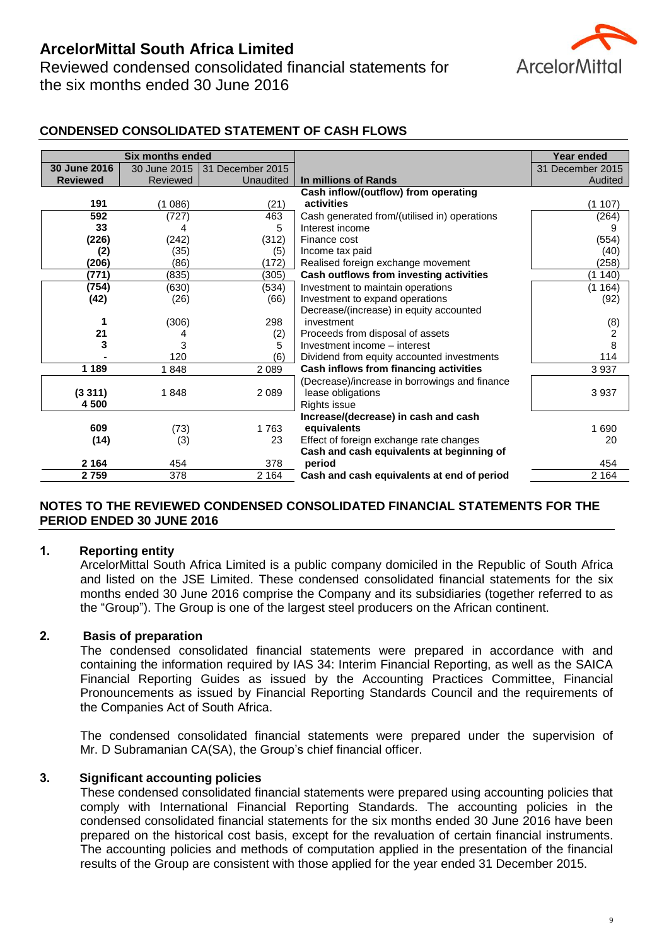Reviewed condensed consolidated financial statements for the six months ended 30 June 2016



# **CONDENSED CONSOLIDATED STATEMENT OF CASH FLOWS**

|                 | <b>Six months ended</b> |                  |                                               | <b>Year ended</b> |
|-----------------|-------------------------|------------------|-----------------------------------------------|-------------------|
| 30 June 2016    | 30 June 2015            | 31 December 2015 |                                               | 31 December 2015  |
| <b>Reviewed</b> | Reviewed                | <b>Unaudited</b> | In millions of Rands                          | Audited           |
|                 |                         |                  | Cash inflow/(outflow) from operating          |                   |
| 191             | (1086)                  | (21)             | activities                                    | (1107)            |
| 592             | (727)                   | 463              | Cash generated from/(utilised in) operations  | (264)             |
| 33              | 4                       | 5                | Interest income                               | 9                 |
| (226)           | (242)                   | (312)            | Finance cost                                  | (554)             |
| (2)             | (35)                    | (5)              | Income tax paid                               | (40)              |
| (206)           | (86)                    | (172)            | Realised foreign exchange movement            | (258)             |
| (771)           | (835)                   | (305)            | Cash outflows from investing activities       | (1 140            |
| (754)           | (630)                   | (534)            | Investment to maintain operations             | (1164)            |
| (42)            | (26)                    | (66)             | Investment to expand operations               | (92)              |
|                 |                         |                  | Decrease/(increase) in equity accounted       |                   |
|                 | (306)                   | 298              | investment                                    | (8)               |
| 21              | 4                       | (2)              | Proceeds from disposal of assets              | 2                 |
| 3               | 3                       | 5                | Investment income - interest                  | $\,8\,$           |
|                 | 120                     | (6)              | Dividend from equity accounted investments    | 114               |
| 1 1 8 9         | 1848                    | 2 0 8 9          | Cash inflows from financing activities        | 3 9 3 7           |
|                 |                         |                  | (Decrease)/increase in borrowings and finance |                   |
| (3311)          | 1848                    | 2089             | lease obligations                             | 3 9 3 7           |
| 4500            |                         |                  | <b>Rights issue</b>                           |                   |
|                 |                         |                  | Increase/(decrease) in cash and cash          |                   |
| 609             | (73)                    | 1763             | equivalents                                   | 1 6 9 0           |
| (14)            | (3)                     | 23               | Effect of foreign exchange rate changes       | 20                |
|                 |                         |                  | Cash and cash equivalents at beginning of     |                   |
| 2 1 6 4         | 454                     | 378              | period                                        | 454               |
| 2759            | 378                     | 2 1 6 4          | Cash and cash equivalents at end of period    | 2 1 6 4           |

## **NOTES TO THE REVIEWED CONDENSED CONSOLIDATED FINANCIAL STATEMENTS FOR THE PERIOD ENDED 30 JUNE 2016**

#### **1. Reporting entity**

ArcelorMittal South Africa Limited is a public company domiciled in the Republic of South Africa and listed on the JSE Limited. These condensed consolidated financial statements for the six months ended 30 June 2016 comprise the Company and its subsidiaries (together referred to as the "Group"). The Group is one of the largest steel producers on the African continent.

## **2. Basis of preparation**

The condensed consolidated financial statements were prepared in accordance with and containing the information required by IAS 34: Interim Financial Reporting, as well as the SAICA Financial Reporting Guides as issued by the Accounting Practices Committee, Financial Pronouncements as issued by Financial Reporting Standards Council and the requirements of the Companies Act of South Africa.

The condensed consolidated financial statements were prepared under the supervision of Mr. D Subramanian CA(SA), the Group's chief financial officer.

#### **3. Significant accounting policies**

These condensed consolidated financial statements were prepared using accounting policies that comply with International Financial Reporting Standards. The accounting policies in the condensed consolidated financial statements for the six months ended 30 June 2016 have been prepared on the historical cost basis, except for the revaluation of certain financial instruments. The accounting policies and methods of computation applied in the presentation of the financial results of the Group are consistent with those applied for the year ended 31 December 2015.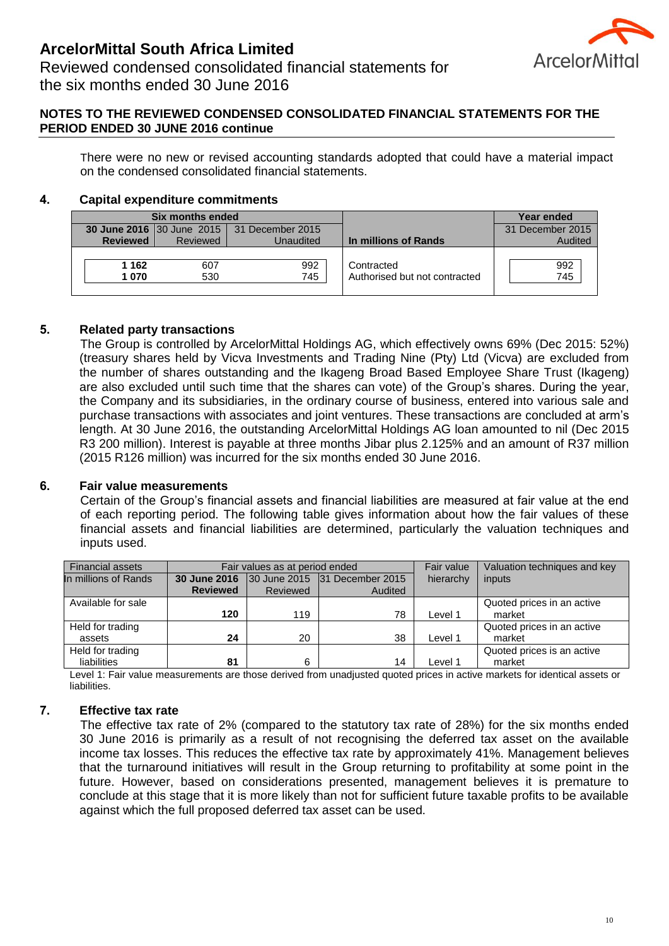

Reviewed condensed consolidated financial statements for the six months ended 30 June 2016

## **NOTES TO THE REVIEWED CONDENSED CONSOLIDATED FINANCIAL STATEMENTS FOR THE PERIOD ENDED 30 JUNE 2016 continue**

There were no new or revised accounting standards adopted that could have a material impact on the condensed consolidated financial statements.

# **4. Capital expenditure commitments**

|                                                   |       | Six months ended     |         |                               | Year ended       |
|---------------------------------------------------|-------|----------------------|---------|-------------------------------|------------------|
| <b>30 June 2016</b> 30 June 2015 31 December 2015 |       |                      |         |                               | 31 December 2015 |
| <b>Reviewed</b><br>Reviewed<br>Unaudited          |       | In millions of Rands | Audited |                               |                  |
|                                                   | 1 162 | 607                  | 992     | Contracted                    | 992              |
|                                                   | 1070  | 530                  | 745     | Authorised but not contracted | 745              |

# **5. Related party transactions**

The Group is controlled by ArcelorMittal Holdings AG, which effectively owns 69% (Dec 2015: 52%) (treasury shares held by Vicva Investments and Trading Nine (Pty) Ltd (Vicva) are excluded from the number of shares outstanding and the Ikageng Broad Based Employee Share Trust (Ikageng) are also excluded until such time that the shares can vote) of the Group's shares. During the year, the Company and its subsidiaries, in the ordinary course of business, entered into various sale and purchase transactions with associates and joint ventures. These transactions are concluded at arm's length. At 30 June 2016, the outstanding ArcelorMittal Holdings AG loan amounted to nil (Dec 2015 R3 200 million). Interest is payable at three months Jibar plus 2.125% and an amount of R37 million (2015 R126 million) was incurred for the six months ended 30 June 2016.

## **6. Fair value measurements**

Certain of the Group's financial assets and financial liabilities are measured at fair value at the end of each reporting period. The following table gives information about how the fair values of these financial assets and financial liabilities are determined, particularly the valuation techniques and inputs used.

| <b>Financial assets</b> | Fair values as at period ended |                 |                                                   | Fair value | Valuation techniques and key |
|-------------------------|--------------------------------|-----------------|---------------------------------------------------|------------|------------------------------|
| In millions of Rands    |                                |                 | <b>30 June 2016</b> 30 June 2015 31 December 2015 | hierarchy  | inputs                       |
|                         | <b>Reviewed</b>                | <b>Reviewed</b> | Audited                                           |            |                              |
| Available for sale      |                                |                 |                                                   |            | Quoted prices in an active   |
|                         | 120                            | 119             | 78                                                | Level 1    | market                       |
| Held for trading        |                                |                 |                                                   |            | Quoted prices in an active   |
| assets                  | 24                             | 20              | 38                                                | Level 1    | market                       |
| Held for trading        |                                |                 |                                                   |            | Quoted prices is an active   |
| liabilities             | 81                             | 6               | 14                                                | Level 1    | market                       |

Level 1: Fair value measurements are those derived from unadjusted quoted prices in active markets for identical assets or liabilities.

# **7. Effective tax rate**

The effective tax rate of 2% (compared to the statutory tax rate of 28%) for the six months ended 30 June 2016 is primarily as a result of not recognising the deferred tax asset on the available income tax losses. This reduces the effective tax rate by approximately 41%. Management believes that the turnaround initiatives will result in the Group returning to profitability at some point in the future. However, based on considerations presented, management believes it is premature to conclude at this stage that it is more likely than not for sufficient future taxable profits to be available against which the full proposed deferred tax asset can be used.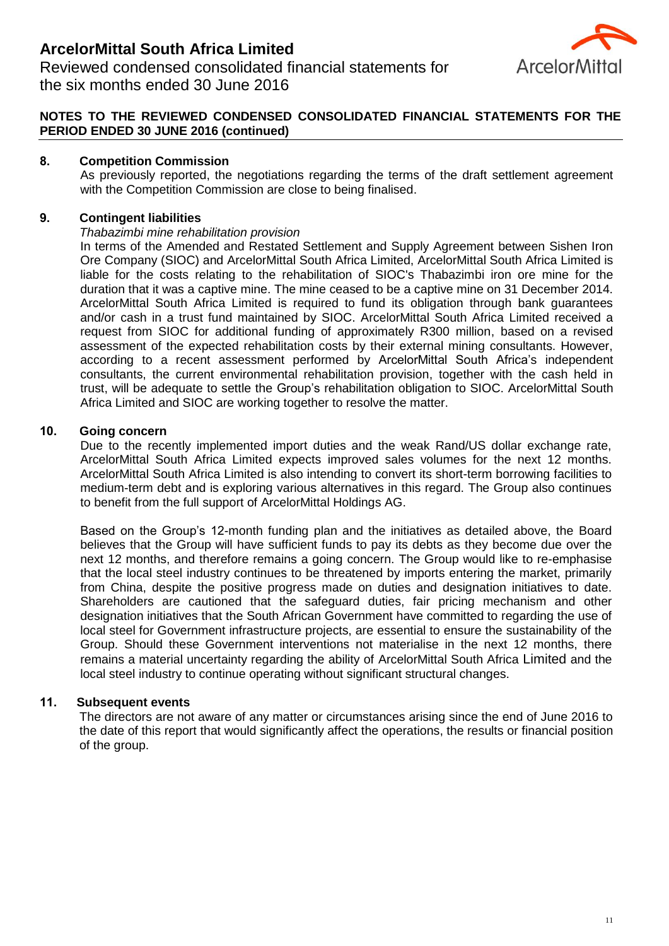

Reviewed condensed consolidated financial statements for the six months ended 30 June 2016

# **NOTES TO THE REVIEWED CONDENSED CONSOLIDATED FINANCIAL STATEMENTS FOR THE PERIOD ENDED 30 JUNE 2016 (continued)**

## **8. Competition Commission**

As previously reported, the negotiations regarding the terms of the draft settlement agreement with the Competition Commission are close to being finalised.

## **9. Contingent liabilities**

#### *Thabazimbi mine rehabilitation provision*

In terms of the Amended and Restated Settlement and Supply Agreement between Sishen Iron Ore Company (SIOC) and ArcelorMittal South Africa Limited, ArcelorMittal South Africa Limited is liable for the costs relating to the rehabilitation of SIOC's Thabazimbi iron ore mine for the duration that it was a captive mine. The mine ceased to be a captive mine on 31 December 2014. ArcelorMittal South Africa Limited is required to fund its obligation through bank guarantees and/or cash in a trust fund maintained by SIOC. ArcelorMittal South Africa Limited received a request from SIOC for additional funding of approximately R300 million, based on a revised assessment of the expected rehabilitation costs by their external mining consultants. However, according to a recent assessment performed by ArcelorMittal South Africa's independent consultants, the current environmental rehabilitation provision, together with the cash held in trust, will be adequate to settle the Group's rehabilitation obligation to SIOC. ArcelorMittal South Africa Limited and SIOC are working together to resolve the matter.

## **10. Going concern**

Due to the recently implemented import duties and the weak Rand/US dollar exchange rate, ArcelorMittal South Africa Limited expects improved sales volumes for the next 12 months. ArcelorMittal South Africa Limited is also intending to convert its short-term borrowing facilities to medium-term debt and is exploring various alternatives in this regard. The Group also continues to benefit from the full support of ArcelorMittal Holdings AG.

Based on the Group's 12-month funding plan and the initiatives as detailed above, the Board believes that the Group will have sufficient funds to pay its debts as they become due over the next 12 months, and therefore remains a going concern. The Group would like to re-emphasise that the local steel industry continues to be threatened by imports entering the market, primarily from China, despite the positive progress made on duties and designation initiatives to date. Shareholders are cautioned that the safeguard duties, fair pricing mechanism and other designation initiatives that the South African Government have committed to regarding the use of local steel for Government infrastructure projects, are essential to ensure the sustainability of the Group. Should these Government interventions not materialise in the next 12 months, there remains a material uncertainty regarding the ability of ArcelorMittal South Africa Limited and the local steel industry to continue operating without significant structural changes.

## **11. Subsequent events**

The directors are not aware of any matter or circumstances arising since the end of June 2016 to the date of this report that would significantly affect the operations, the results or financial position of the group.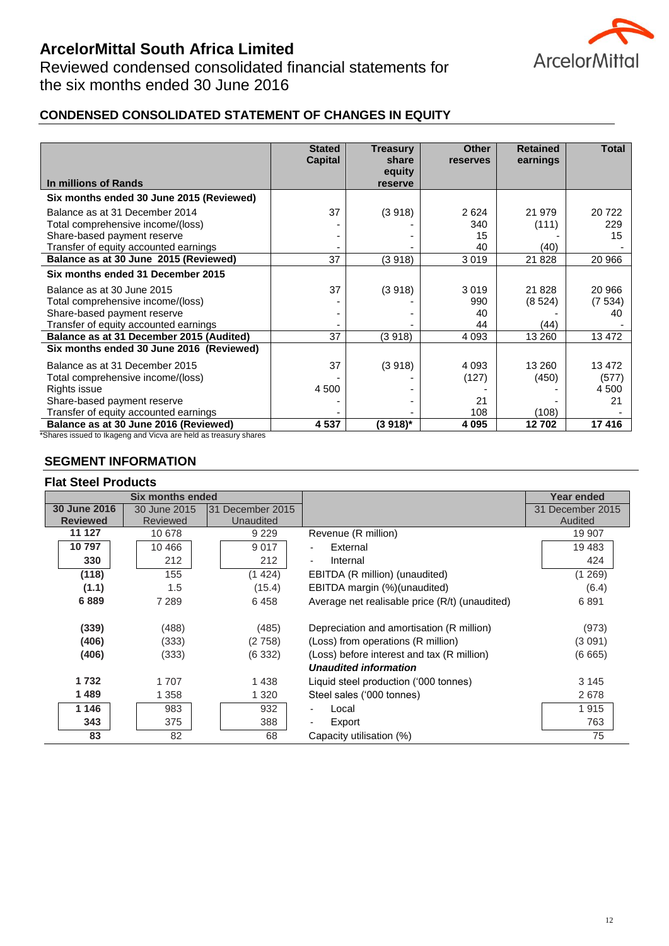

Reviewed condensed consolidated financial statements for the six months ended 30 June 2016

# **CONDENSED CONSOLIDATED STATEMENT OF CHANGES IN EQUITY**

| In millions of Rands                     | <b>Stated</b><br><b>Capital</b> | <b>Treasury</b><br>share<br>equity<br>reserve | <b>Other</b><br><b>reserves</b> | <b>Retained</b><br>earnings | <b>Total</b> |
|------------------------------------------|---------------------------------|-----------------------------------------------|---------------------------------|-----------------------------|--------------|
| Six months ended 30 June 2015 (Reviewed) |                                 |                                               |                                 |                             |              |
| Balance as at 31 December 2014           | 37                              | (3918)                                        | 2624                            | 21 979                      | 20722        |
| Total comprehensive income/(loss)        |                                 |                                               | 340                             | (111)                       | 229          |
| Share-based payment reserve              |                                 |                                               | 15                              |                             | 15           |
| Transfer of equity accounted earnings    |                                 |                                               | 40                              | (40)                        |              |
| Balance as at 30 June 2015 (Reviewed)    | 37                              | (3918)                                        | 3019                            | 21828                       | 20 966       |
| Six months ended 31 December 2015        |                                 |                                               |                                 |                             |              |
| Balance as at 30 June 2015               | 37                              | (3918)                                        | 3019                            | 21828                       | 20 966       |
| Total comprehensive income/(loss)        |                                 |                                               | 990                             | (8524)                      | (7534)       |
| Share-based payment reserve              |                                 |                                               | 40                              |                             | 40           |
| Transfer of equity accounted earnings    |                                 |                                               | 44                              | (44)                        |              |
| Balance as at 31 December 2015 (Audited) | 37                              | (3918)                                        | 4 0 9 3                         | 13 260                      | 13 472       |
| Six months ended 30 June 2016 (Reviewed) |                                 |                                               |                                 |                             |              |
| Balance as at 31 December 2015           | 37                              | (3918)                                        | 4 0 9 3                         | 13 260                      | 13 472       |
| Total comprehensive income/(loss)        |                                 |                                               | (127)                           | (450)                       | (577)        |
| Rights issue                             | 4 500                           |                                               |                                 |                             | 4 500        |
| Share-based payment reserve              |                                 |                                               | 21                              |                             | 21           |
| Transfer of equity accounted earnings    |                                 |                                               | 108                             | (108)                       |              |
| Balance as at 30 June 2016 (Reviewed)    | 4537                            | $(3918)^{*}$                                  | 4 0 9 5                         | 12702                       | 17416        |

\*Shares issued to Ikageng and Vicva are held as treasury shares

## **SEGMENT INFORMATION**

#### **Flat Steel Products**

|                 | Six months ended |                  |                                                | <b>Year ended</b> |
|-----------------|------------------|------------------|------------------------------------------------|-------------------|
| 30 June 2016    | 30 June 2015     | 31 December 2015 |                                                | 31 December 2015  |
| <b>Reviewed</b> | <b>Reviewed</b>  | Unaudited        |                                                | Audited           |
| 11 127          | 10 678           | 9 2 2 9          | Revenue (R million)                            | 19 907            |
| 10797           | 10 466           | 9017             | External                                       | 19 4 83           |
| 330             | 212              | 212              | Internal                                       | 424               |
| (118)           | 155              | (1424)           | EBITDA (R million) (unaudited)                 | (1 269)           |
| (1.1)           | 1.5              | (15.4)           | EBITDA margin (%)(unaudited)                   | (6.4)             |
| 6889            | 7 289            | 6458             | Average net realisable price (R/t) (unaudited) | 6891              |
| (339)           | (488)            | (485)            | Depreciation and amortisation (R million)      | (973)             |
| (406)           | (333)            | (2758)           | (Loss) from operations (R million)             | (3 091)           |
| (406)           | (333)            | (6332)           | (Loss) before interest and tax (R million)     | (6665)            |
|                 |                  |                  | <b>Unaudited information</b>                   |                   |
| 1 7 3 2         | 1707             | 1438             | Liquid steel production ('000 tonnes)          | 3 1 4 5           |
| 1489            | 1 3 5 8          | 1 3 2 0          | Steel sales ('000 tonnes)                      | 2678              |
| 1 1 4 6         | 983              | 932              | Local                                          | 1915              |
| 343             | 375              | 388              | Export                                         | 763               |
| 83              | 82               | 68               | Capacity utilisation (%)                       | 75                |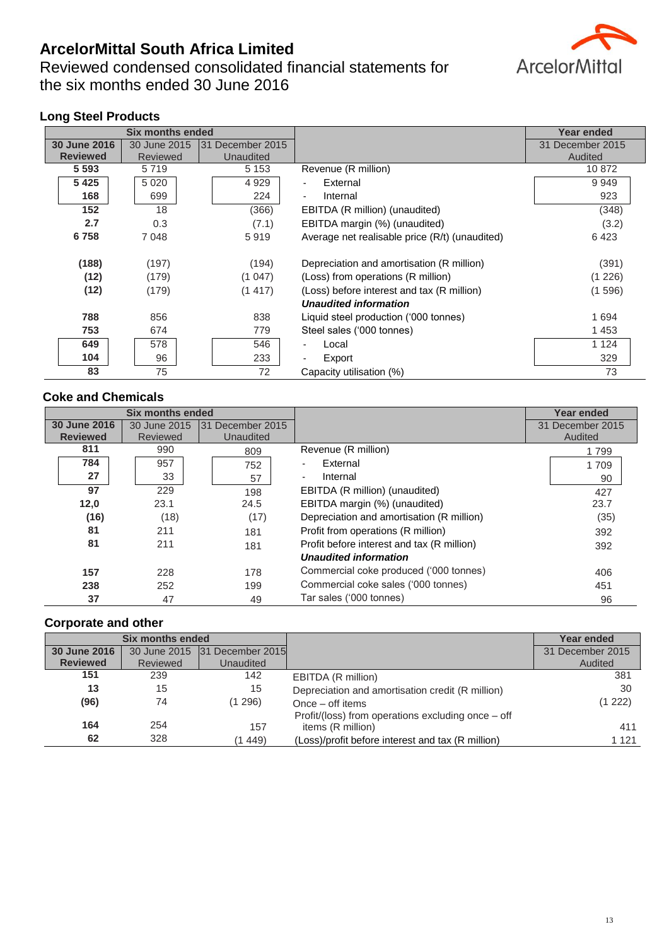Reviewed condensed consolidated financial statements for the six months ended 30 June 2016

# **ArcelorMittal**

# **Long Steel Products**

|                 | <b>Six months ended</b> |                  |                                                | <b>Year ended</b> |
|-----------------|-------------------------|------------------|------------------------------------------------|-------------------|
| 30 June 2016    | 30 June 2015            | 31 December 2015 |                                                | 31 December 2015  |
| <b>Reviewed</b> | <b>Reviewed</b>         | Unaudited        |                                                | Audited           |
| 5 5 9 3         | 5719                    | 5 1 5 3          | Revenue (R million)                            | 10872             |
| 5425            | 5 0 2 0                 | 4929             | External                                       | 9949              |
| 168             | 699                     | 224              | Internal<br>$\overline{\phantom{a}}$           | 923               |
| 152             | 18                      | (366)            | EBITDA (R million) (unaudited)                 | (348)             |
| 2.7             | 0.3                     | (7.1)            | EBITDA margin (%) (unaudited)                  | (3.2)             |
| 6758            | 7048                    | 5919             | Average net realisable price (R/t) (unaudited) | 6423              |
| (188)           | (197)                   | (194)            | Depreciation and amortisation (R million)      | (391)             |
| (12)            | (179)                   | (1047)           | (Loss) from operations (R million)             | (1 226)           |
| (12)            | (179)                   | (1417)           | (Loss) before interest and tax (R million)     | (1 596)           |
|                 |                         |                  | <b>Unaudited information</b>                   |                   |
| 788             | 856                     | 838              | Liquid steel production ('000 tonnes)          | 1694              |
| 753             | 674                     | 779              | Steel sales ('000 tonnes)                      | 1453              |
| 649             | 578                     | 546              | Local                                          | 1 1 2 4           |
| 104             | 96                      | 233              | Export                                         | 329               |
| 83              | 75                      | 72               | Capacity utilisation (%)                       | 73                |

# **Coke and Chemicals**

|                                 | <b>Six months ended</b>  |                               |                                            | <b>Year ended</b>           |
|---------------------------------|--------------------------|-------------------------------|--------------------------------------------|-----------------------------|
| 30 June 2016<br><b>Reviewed</b> | 30 June 2015<br>Reviewed | 31 December 2015<br>Unaudited |                                            | 31 December 2015<br>Audited |
| 811                             | 990                      | 809                           | Revenue (R million)                        | 799                         |
| 784                             | 957                      | 752                           | External<br>$\overline{\phantom{a}}$       | 1709                        |
| 27                              | 33                       | 57                            | Internal<br>$\overline{\phantom{a}}$       | 90                          |
| 97                              | 229                      | 198                           | EBITDA (R million) (unaudited)             | 427                         |
| 12,0                            | 23.1                     | 24.5                          | EBITDA margin (%) (unaudited)              | 23.7                        |
| (16)                            | (18)                     | (17)                          | Depreciation and amortisation (R million)  | (35)                        |
| 81                              | 211                      | 181                           | Profit from operations (R million)         | 392                         |
| 81                              | 211                      | 181                           | Profit before interest and tax (R million) | 392                         |
|                                 |                          |                               | <b>Unaudited information</b>               |                             |
| 157                             | 228                      | 178                           | Commercial coke produced ('000 tonnes)     | 406                         |
| 238                             | 252                      | 199                           | Commercial coke sales ('000 tonnes)        | 451                         |
| 37                              | 47                       | 49                            | Tar sales ('000 tonnes)                    | 96                          |

# **Corporate and other**

| <b>Six months ended</b> |              |                  |                                                    | <b>Year ended</b> |
|-------------------------|--------------|------------------|----------------------------------------------------|-------------------|
| 30 June 2016            | 30 June 2015 | 31 December 2015 |                                                    | 31 December 2015  |
| <b>Reviewed</b>         | Reviewed     | Unaudited        |                                                    | Audited           |
| 151                     | 239          | 142              | EBITDA (R million)                                 | 381               |
| 13                      | 15           | 15               | Depreciation and amortisation credit (R million)   | 30                |
| (96)                    | 74           | (1 296)          | Once – off items                                   | (1 222)           |
|                         |              |                  | Profit/(loss) from operations excluding once - off |                   |
| 164                     | 254          | 157              | items (R million)                                  | 411               |
| 62                      | 328          | 449)             | (Loss)/profit before interest and tax (R million)  | 1 1 2 1           |